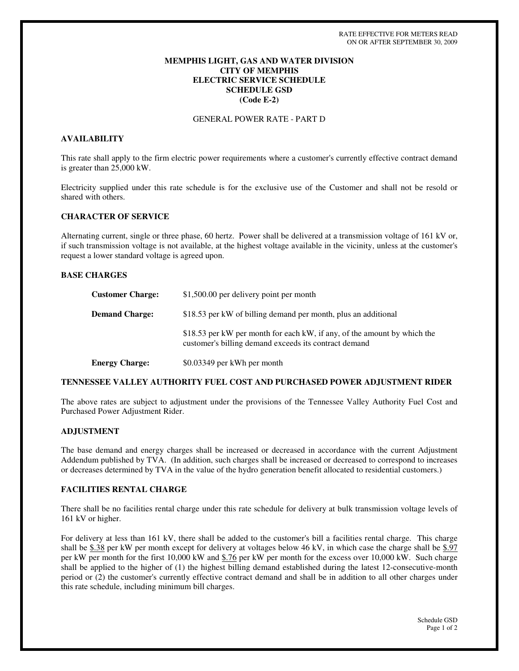# **MEMPHIS LIGHT, GAS AND WATER DIVISION CITY OF MEMPHIS ELECTRIC SERVICE SCHEDULE SCHEDULE GSD (Code E-2)**

# GENERAL POWER RATE - PART D

## **AVAILABILITY**

This rate shall apply to the firm electric power requirements where a customer's currently effective contract demand is greater than 25,000 kW.

Electricity supplied under this rate schedule is for the exclusive use of the Customer and shall not be resold or shared with others.

#### **CHARACTER OF SERVICE**

Alternating current, single or three phase, 60 hertz. Power shall be delivered at a transmission voltage of 161 kV or, if such transmission voltage is not available, at the highest voltage available in the vicinity, unless at the customer's request a lower standard voltage is agreed upon.

# **BASE CHARGES**

| <b>Customer Charge:</b> | \$1,500.00 per delivery point per month                                                                                           |
|-------------------------|-----------------------------------------------------------------------------------------------------------------------------------|
| <b>Demand Charge:</b>   | \$18.53 per kW of billing demand per month, plus an additional                                                                    |
|                         | \$18.53 per kW per month for each kW, if any, of the amount by which the<br>customer's billing demand exceeds its contract demand |
| <b>Energy Charge:</b>   | \$0.03349 per kWh per month                                                                                                       |

## **TENNESSEE VALLEY AUTHORITY FUEL COST AND PURCHASED POWER ADJUSTMENT RIDER**

The above rates are subject to adjustment under the provisions of the Tennessee Valley Authority Fuel Cost and Purchased Power Adjustment Rider.

#### **ADJUSTMENT**

The base demand and energy charges shall be increased or decreased in accordance with the current Adjustment Addendum published by TVA. (In addition, such charges shall be increased or decreased to correspond to increases or decreases determined by TVA in the value of the hydro generation benefit allocated to residential customers.)

# **FACILITIES RENTAL CHARGE**

There shall be no facilities rental charge under this rate schedule for delivery at bulk transmission voltage levels of 161 kV or higher.

For delivery at less than 161 kV, there shall be added to the customer's bill a facilities rental charge. This charge shall be \$.38 per kW per month except for delivery at voltages below 46 kV, in which case the charge shall be \$.97 per kW per month for the first 10,000 kW and \$.76 per kW per month for the excess over 10,000 kW. Such charge shall be applied to the higher of (1) the highest billing demand established during the latest 12-consecutive-month period or (2) the customer's currently effective contract demand and shall be in addition to all other charges under this rate schedule, including minimum bill charges.